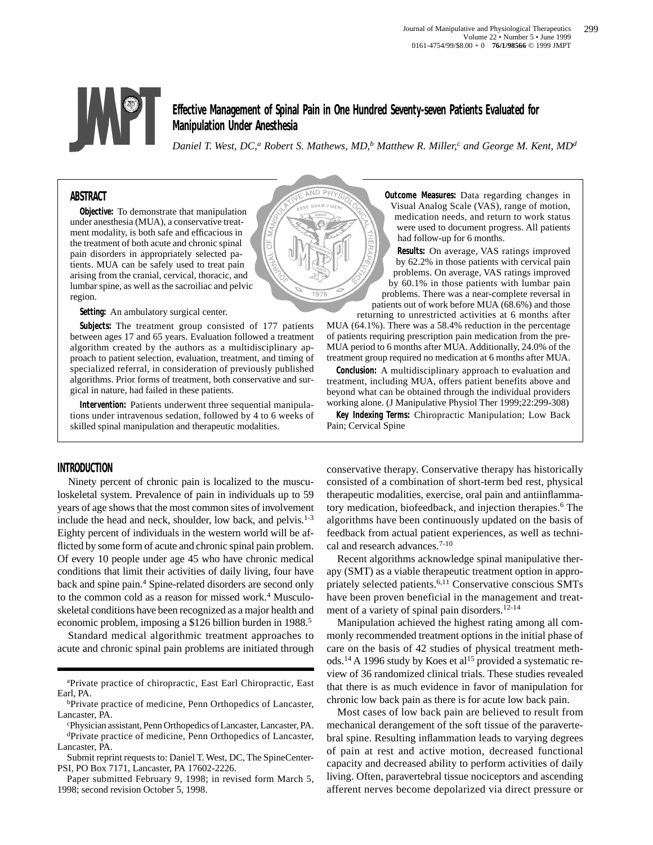

# **Effective Management of Spinal Pain in One Hundred Seventy-seven Patients Evaluated for Manipulation Under Anesthesia**

**ND** QUAM V

97

*Daniel T. West, DC,<sup>a</sup> Robert S. Mathews, MD,<sup>b</sup> Matthew R. Miller,<sup>c</sup> and George M. Kent, MD<sup>d</sup>* 

# **ABSTRACT**

**Objective:** To demonstrate that manipulation under anesthesia (MUA), a conservative treatment modality, is both safe and efficacious in the treatment of both acute and chronic spinal pain disorders in appropriately selected patients. MUA can be safely used to treat pain arising from the cranial, cervical, thoracic, and lumbar spine, as well as the sacroiliac and pelvic region.

**Setting:** An ambulatory surgical center.

**Subjects:** The treatment group consisted of 177 patients between ages 17 and 65 years. Evaluation followed a treatment algorithm created by the authors as a multidisciplinary approach to patient selection, evaluation, treatment, and timing of specialized referral, in consideration of previously published algorithms. Prior forms of treatment, both conservative and surgical in nature, had failed in these patients.

**Intervention:** Patients underwent three sequential manipulations under intravenous sedation, followed by 4 to 6 weeks of skilled spinal manipulation and therapeutic modalities.

#### **INTRODUCTION**

Ninety percent of chronic pain is localized to the musculoskeletal system. Prevalence of pain in individuals up to 59 years of age shows that the most common sites of involvement include the head and neck, shoulder, low back, and pelvis.<sup>1-3</sup> Eighty percent of individuals in the western world will be afflicted by some form of acute and chronic spinal pain problem. Of every 10 people under age 45 who have chronic medical conditions that limit their activities of daily living, four have back and spine pain.4 Spine-related disorders are second only to the common cold as a reason for missed work.4 Musculoskeletal conditions have been recognized as a major health and economic problem, imposing a \$126 billion burden in 1988.5

Standard medical algorithmic treatment approaches to acute and chronic spinal pain problems are initiated through

a Private practice of chiropractic, East Earl Chiropractic, East Earl, PA.

bPrivate practice of medicine, Penn Orthopedics of Lancaster, Lancaster, PA.

c Physician assistant, Penn Orthopedics of Lancaster, Lancaster, PA. dPrivate practice of medicine, Penn Orthopedics of Lancaster, Lancaster, PA.

Submit reprint requests to: Daniel T. West, DC, The SpineCenter-PSI, PO Box 7171, Lancaster, PA 17602-2226.

Paper submitted February 9, 1998; in revised form March 5, 1998; second revision October 5, 1998.

**Outcome Measures:** Data regarding changes in Visual Analog Scale (VAS), range of motion, medication needs, and return to work status were used to document progress. All patients had follow-up for 6 months.

**Results:** On average, VAS ratings improved by 62.2% in those patients with cervical pain problems. On average, VAS ratings improved by 60.1% in those patients with lumbar pain problems. There was a near-complete reversal in patients out of work before MUA (68.6%) and those

returning to unrestricted activities at 6 months after MUA (64.1%). There was a 58.4% reduction in the percentage of patients requiring prescription pain medication from the pre-MUA period to 6 months after MUA. Additionally, 24.0% of the treatment group required no medication at 6 months after MUA.

**Conclusion:** A multidisciplinary approach to evaluation and treatment, including MUA, offers patient benefits above and beyond what can be obtained through the individual providers working alone. (J Manipulative Physiol Ther 1999;22:299-308)

**Key Indexing Terms:** Chiropractic Manipulation; Low Back Pain; Cervical Spine

conservative therapy. Conservative therapy has historically consisted of a combination of short-term bed rest, physical therapeutic modalities, exercise, oral pain and antiinflammatory medication, biofeedback, and injection therapies.<sup>6</sup> The algorithms have been continuously updated on the basis of feedback from actual patient experiences, as well as technical and research advances.7-10

Recent algorithms acknowledge spinal manipulative therapy (SMT) as a viable therapeutic treatment option in appropriately selected patients.6,11 Conservative conscious SMTs have been proven beneficial in the management and treatment of a variety of spinal pain disorders.12-14

Manipulation achieved the highest rating among all commonly recommended treatment options in the initial phase of care on the basis of 42 studies of physical treatment methods.<sup>14</sup> A 1996 study by Koes et al<sup>15</sup> provided a systematic review of 36 randomized clinical trials. These studies revealed that there is as much evidence in favor of manipulation for chronic low back pain as there is for acute low back pain.

Most cases of low back pain are believed to result from mechanical derangement of the soft tissue of the paravertebral spine. Resulting inflammation leads to varying degrees of pain at rest and active motion, decreased functional capacity and decreased ability to perform activities of daily living. Often, paravertebral tissue nociceptors and ascending afferent nerves become depolarized via direct pressure or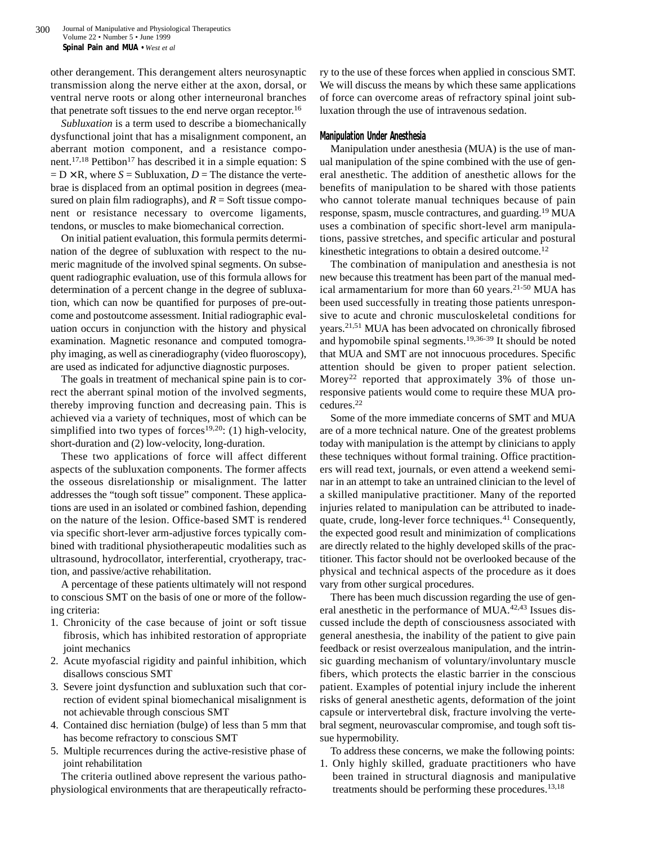other derangement. This derangement alters neurosynaptic transmission along the nerve either at the axon, dorsal, or ventral nerve roots or along other interneuronal branches that penetrate soft tissues to the end nerve organ receptor.16

*Subluxation* is a term used to describe a biomechanically dysfunctional joint that has a misalignment component, an aberrant motion component, and a resistance component.<sup>17,18</sup> Pettibon<sup>17</sup> has described it in a simple equation: S  $= D \times R$ , where *S* = Subluxation, *D* = The distance the vertebrae is displaced from an optimal position in degrees (measured on plain film radiographs), and  $R =$  Soft tissue component or resistance necessary to overcome ligaments, tendons, or muscles to make biomechanical correction.

On initial patient evaluation, this formula permits determination of the degree of subluxation with respect to the numeric magnitude of the involved spinal segments. On subsequent radiographic evaluation, use of this formula allows for determination of a percent change in the degree of subluxation, which can now be quantified for purposes of pre-outcome and postoutcome assessment. Initial radiographic evaluation occurs in conjunction with the history and physical examination. Magnetic resonance and computed tomography imaging, as well as cineradiography (video fluoroscopy), are used as indicated for adjunctive diagnostic purposes.

The goals in treatment of mechanical spine pain is to correct the aberrant spinal motion of the involved segments, thereby improving function and decreasing pain. This is achieved via a variety of techniques, most of which can be simplified into two types of forces<sup>19,20</sup>: (1) high-velocity, short-duration and (2) low-velocity, long-duration.

These two applications of force will affect different aspects of the subluxation components. The former affects the osseous disrelationship or misalignment. The latter addresses the "tough soft tissue" component. These applications are used in an isolated or combined fashion, depending on the nature of the lesion. Office-based SMT is rendered via specific short-lever arm-adjustive forces typically combined with traditional physiotherapeutic modalities such as ultrasound, hydrocollator, interferential, cryotherapy, traction, and passive/active rehabilitation.

A percentage of these patients ultimately will not respond to conscious SMT on the basis of one or more of the following criteria:

- 1. Chronicity of the case because of joint or soft tissue fibrosis, which has inhibited restoration of appropriate joint mechanics
- 2. Acute myofascial rigidity and painful inhibition, which disallows conscious SMT
- 3. Severe joint dysfunction and subluxation such that correction of evident spinal biomechanical misalignment is not achievable through conscious SMT
- 4. Contained disc herniation (bulge) of less than 5 mm that has become refractory to conscious SMT
- 5. Multiple recurrences during the active-resistive phase of joint rehabilitation

The criteria outlined above represent the various pathophysiological environments that are therapeutically refractory to the use of these forces when applied in conscious SMT. We will discuss the means by which these same applications of force can overcome areas of refractory spinal joint subluxation through the use of intravenous sedation.

#### **Manipulation Under Anesthesia**

Manipulation under anesthesia (MUA) is the use of manual manipulation of the spine combined with the use of general anesthetic. The addition of anesthetic allows for the benefits of manipulation to be shared with those patients who cannot tolerate manual techniques because of pain response, spasm, muscle contractures, and guarding.19 MUA uses a combination of specific short-level arm manipulations, passive stretches, and specific articular and postural kinesthetic integrations to obtain a desired outcome.<sup>12</sup>

The combination of manipulation and anesthesia is not new because this treatment has been part of the manual medical armamentarium for more than 60 years.<sup>21-50</sup> MUA has been used successfully in treating those patients unresponsive to acute and chronic musculoskeletal conditions for years.21,51 MUA has been advocated on chronically fibrosed and hypomobile spinal segments.19,36-39 It should be noted that MUA and SMT are not innocuous procedures. Specific attention should be given to proper patient selection. Morey<sup>22</sup> reported that approximately 3% of those unresponsive patients would come to require these MUA procedures.22

Some of the more immediate concerns of SMT and MUA are of a more technical nature. One of the greatest problems today with manipulation is the attempt by clinicians to apply these techniques without formal training. Office practitioners will read text, journals, or even attend a weekend seminar in an attempt to take an untrained clinician to the level of a skilled manipulative practitioner. Many of the reported injuries related to manipulation can be attributed to inadequate, crude, long-lever force techniques.<sup>41</sup> Consequently, the expected good result and minimization of complications are directly related to the highly developed skills of the practitioner. This factor should not be overlooked because of the physical and technical aspects of the procedure as it does vary from other surgical procedures.

There has been much discussion regarding the use of general anesthetic in the performance of MUA.<sup>42,43</sup> Issues discussed include the depth of consciousness associated with general anesthesia, the inability of the patient to give pain feedback or resist overzealous manipulation, and the intrinsic guarding mechanism of voluntary/involuntary muscle fibers, which protects the elastic barrier in the conscious patient. Examples of potential injury include the inherent risks of general anesthetic agents, deformation of the joint capsule or intervertebral disk, fracture involving the vertebral segment, neurovascular compromise, and tough soft tissue hypermobility.

To address these concerns, we make the following points: 1. Only highly skilled, graduate practitioners who have been trained in structural diagnosis and manipulative treatments should be performing these procedures.<sup>13,18</sup>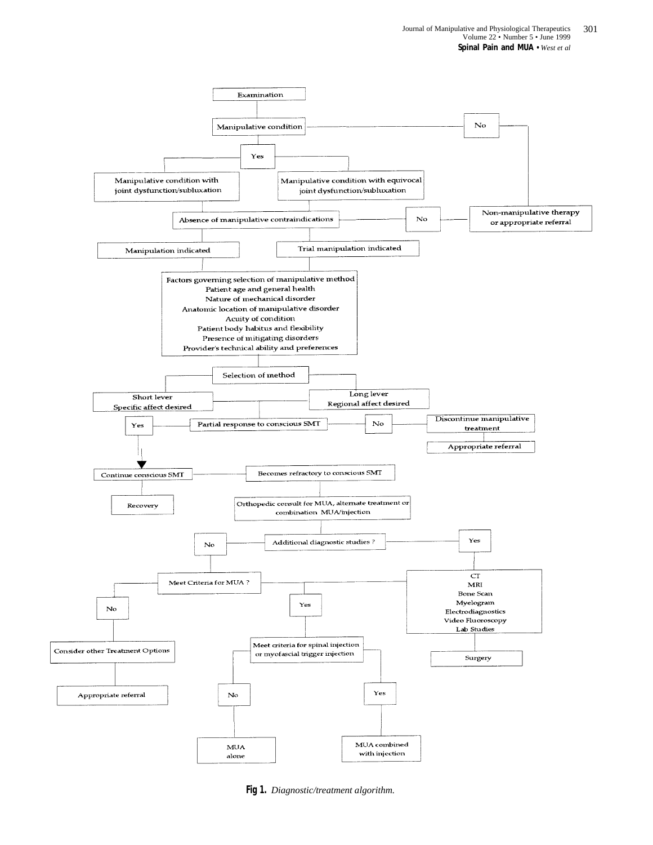

**Fig 1.** *Diagnostic/treatment algorithm.*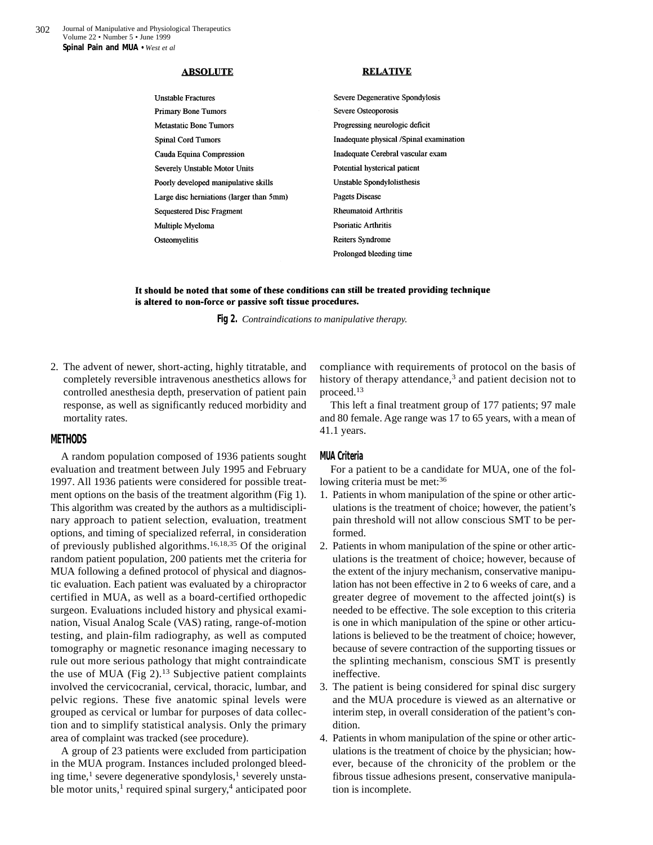| <b>ABSOLUTE</b>    |  |
|--------------------|--|
| Unstable Fractures |  |

**Primary Bone Tumors Metastatic Bone Tumors Spinal Cord Tumors** Cauda Equina Compression Severely Unstable Motor Units Poorly developed manipulative skills Large disc herniations (larger than 5mm) **Sequestered Disc Fragment** Multiple Myeloma Osteomyelitis

#### **RELATIVE**

Severe Degenerative Spondylosis Severe Osteoporosis Progressing neurologic deficit Inadequate physical /Spinal examination Inadequate Cerebral vascular exam Potential hysterical patient Unstable Spondylolisthesis **Pagets Disease Rheumatoid Arthritis Psoriatic Arthritis** Reiters Syndrome Prolonged bleeding time

It should be noted that some of these conditions can still be treated providing technique is altered to non-force or passive soft tissue procedures.

**Fig 2.** *Contraindications to manipulative therapy.*

2. The advent of newer, short-acting, highly titratable, and completely reversible intravenous anesthetics allows for controlled anesthesia depth, preservation of patient pain response, as well as significantly reduced morbidity and mortality rates.

# **METHODS**

A random population composed of 1936 patients sought evaluation and treatment between July 1995 and February 1997. All 1936 patients were considered for possible treatment options on the basis of the treatment algorithm (Fig 1). This algorithm was created by the authors as a multidisciplinary approach to patient selection, evaluation, treatment options, and timing of specialized referral, in consideration of previously published algorithms.16,18,35 Of the original random patient population, 200 patients met the criteria for MUA following a defined protocol of physical and diagnostic evaluation. Each patient was evaluated by a chiropractor certified in MUA, as well as a board-certified orthopedic surgeon. Evaluations included history and physical examination, Visual Analog Scale (VAS) rating, range-of-motion testing, and plain-film radiography, as well as computed tomography or magnetic resonance imaging necessary to rule out more serious pathology that might contraindicate the use of MUA (Fig  $2$ ).<sup>13</sup> Subjective patient complaints involved the cervicocranial, cervical, thoracic, lumbar, and pelvic regions. These five anatomic spinal levels were grouped as cervical or lumbar for purposes of data collection and to simplify statistical analysis. Only the primary area of complaint was tracked (see procedure).

A group of 23 patients were excluded from participation in the MUA program. Instances included prolonged bleeding time,<sup>1</sup> severe degenerative spondylosis,<sup>1</sup> severely unstable motor units,<sup>1</sup> required spinal surgery,<sup>4</sup> anticipated poor compliance with requirements of protocol on the basis of history of therapy attendance,<sup>3</sup> and patient decision not to proceed.13

This left a final treatment group of 177 patients; 97 male and 80 female. Age range was 17 to 65 years, with a mean of 41.1 years.

# **MUA Criteria**

For a patient to be a candidate for MUA, one of the following criteria must be met:<sup>36</sup>

- 1. Patients in whom manipulation of the spine or other articulations is the treatment of choice; however, the patient's pain threshold will not allow conscious SMT to be performed.
- 2. Patients in whom manipulation of the spine or other articulations is the treatment of choice; however, because of the extent of the injury mechanism, conservative manipulation has not been effective in 2 to 6 weeks of care, and a greater degree of movement to the affected joint(s) is needed to be effective. The sole exception to this criteria is one in which manipulation of the spine or other articulations is believed to be the treatment of choice; however, because of severe contraction of the supporting tissues or the splinting mechanism, conscious SMT is presently ineffective.
- 3. The patient is being considered for spinal disc surgery and the MUA procedure is viewed as an alternative or interim step, in overall consideration of the patient's condition.
- 4. Patients in whom manipulation of the spine or other articulations is the treatment of choice by the physician; however, because of the chronicity of the problem or the fibrous tissue adhesions present, conservative manipulation is incomplete.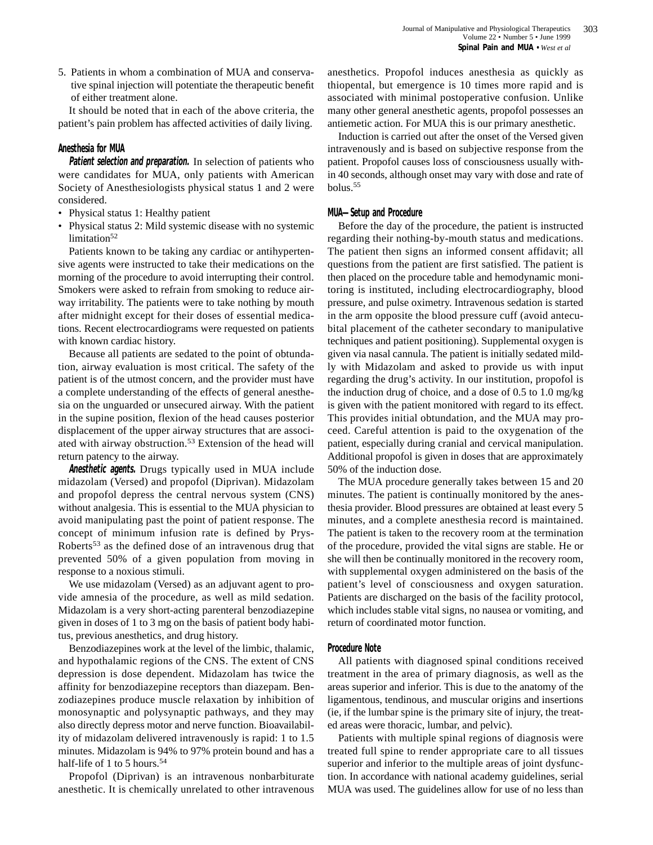5. Patients in whom a combination of MUA and conservative spinal injection will potentiate the therapeutic benefit of either treatment alone.

It should be noted that in each of the above criteria, the patient's pain problem has affected activities of daily living.

## **Anesthesia for MUA**

**Patient selection and preparation.** In selection of patients who were candidates for MUA, only patients with American Society of Anesthesiologists physical status 1 and 2 were considered.

- Physical status 1: Healthy patient
- Physical status 2: Mild systemic disease with no systemic limitation<sup>52</sup>

Patients known to be taking any cardiac or antihypertensive agents were instructed to take their medications on the morning of the procedure to avoid interrupting their control. Smokers were asked to refrain from smoking to reduce airway irritability. The patients were to take nothing by mouth after midnight except for their doses of essential medications. Recent electrocardiograms were requested on patients with known cardiac history.

Because all patients are sedated to the point of obtundation, airway evaluation is most critical. The safety of the patient is of the utmost concern, and the provider must have a complete understanding of the effects of general anesthesia on the unguarded or unsecured airway. With the patient in the supine position, flexion of the head causes posterior displacement of the upper airway structures that are associated with airway obstruction.53 Extension of the head will return patency to the airway.

**Anesthetic agents.** Drugs typically used in MUA include midazolam (Versed) and propofol (Diprivan). Midazolam and propofol depress the central nervous system (CNS) without analgesia. This is essential to the MUA physician to avoid manipulating past the point of patient response. The concept of minimum infusion rate is defined by Prys-Roberts<sup>53</sup> as the defined dose of an intravenous drug that prevented 50% of a given population from moving in response to a noxious stimuli.

We use midazolam (Versed) as an adjuvant agent to provide amnesia of the procedure, as well as mild sedation. Midazolam is a very short-acting parenteral benzodiazepine given in doses of 1 to 3 mg on the basis of patient body habitus, previous anesthetics, and drug history.

Benzodiazepines work at the level of the limbic, thalamic, and hypothalamic regions of the CNS. The extent of CNS depression is dose dependent. Midazolam has twice the affinity for benzodiazepine receptors than diazepam. Benzodiazepines produce muscle relaxation by inhibition of monosynaptic and polysynaptic pathways, and they may also directly depress motor and nerve function. Bioavailability of midazolam delivered intravenously is rapid: 1 to 1.5 minutes. Midazolam is 94% to 97% protein bound and has a half-life of 1 to 5 hours.<sup>54</sup>

Propofol (Diprivan) is an intravenous nonbarbiturate anesthetic. It is chemically unrelated to other intravenous anesthetics. Propofol induces anesthesia as quickly as thiopental, but emergence is 10 times more rapid and is associated with minimal postoperative confusion. Unlike many other general anesthetic agents, propofol possesses an antiemetic action. For MUA this is our primary anesthetic.

Induction is carried out after the onset of the Versed given intravenously and is based on subjective response from the patient. Propofol causes loss of consciousness usually within 40 seconds, although onset may vary with dose and rate of bolus.55

#### **MUA—Setup and Procedure**

Before the day of the procedure, the patient is instructed regarding their nothing-by-mouth status and medications. The patient then signs an informed consent affidavit; all questions from the patient are first satisfied. The patient is then placed on the procedure table and hemodynamic monitoring is instituted, including electrocardiography, blood pressure, and pulse oximetry. Intravenous sedation is started in the arm opposite the blood pressure cuff (avoid antecubital placement of the catheter secondary to manipulative techniques and patient positioning). Supplemental oxygen is given via nasal cannula. The patient is initially sedated mildly with Midazolam and asked to provide us with input regarding the drug's activity. In our institution, propofol is the induction drug of choice, and a dose of 0.5 to 1.0 mg/kg is given with the patient monitored with regard to its effect. This provides initial obtundation, and the MUA may proceed. Careful attention is paid to the oxygenation of the patient, especially during cranial and cervical manipulation. Additional propofol is given in doses that are approximately 50% of the induction dose.

The MUA procedure generally takes between 15 and 20 minutes. The patient is continually monitored by the anesthesia provider. Blood pressures are obtained at least every 5 minutes, and a complete anesthesia record is maintained. The patient is taken to the recovery room at the termination of the procedure, provided the vital signs are stable. He or she will then be continually monitored in the recovery room, with supplemental oxygen administered on the basis of the patient's level of consciousness and oxygen saturation. Patients are discharged on the basis of the facility protocol, which includes stable vital signs, no nausea or vomiting, and return of coordinated motor function.

#### **Procedure Note**

All patients with diagnosed spinal conditions received treatment in the area of primary diagnosis, as well as the areas superior and inferior. This is due to the anatomy of the ligamentous, tendinous, and muscular origins and insertions (ie, if the lumbar spine is the primary site of injury, the treated areas were thoracic, lumbar, and pelvic).

Patients with multiple spinal regions of diagnosis were treated full spine to render appropriate care to all tissues superior and inferior to the multiple areas of joint dysfunction. In accordance with national academy guidelines, serial MUA was used. The guidelines allow for use of no less than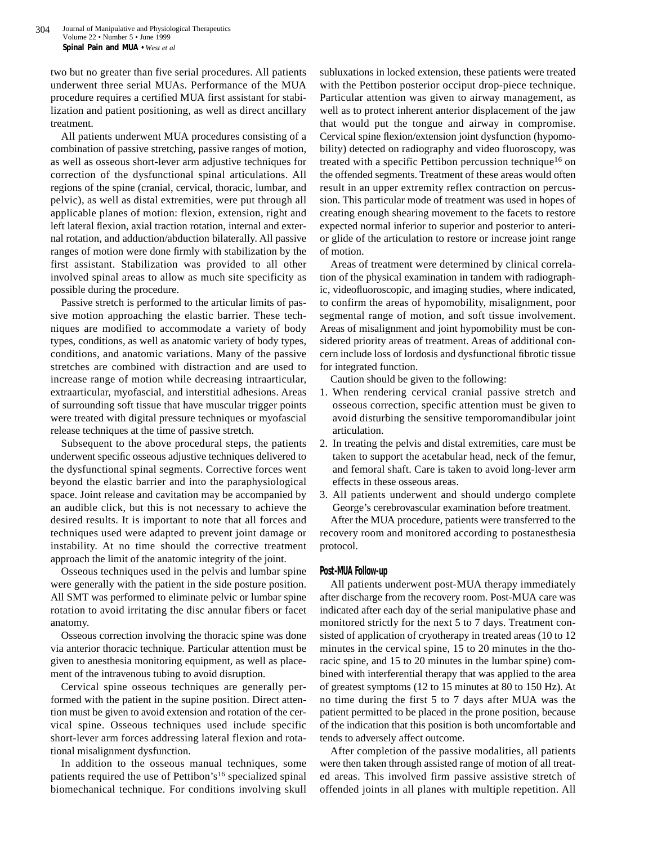two but no greater than five serial procedures. All patients underwent three serial MUAs. Performance of the MUA procedure requires a certified MUA first assistant for stabilization and patient positioning, as well as direct ancillary treatment.

All patients underwent MUA procedures consisting of a combination of passive stretching, passive ranges of motion, as well as osseous short-lever arm adjustive techniques for correction of the dysfunctional spinal articulations. All regions of the spine (cranial, cervical, thoracic, lumbar, and pelvic), as well as distal extremities, were put through all applicable planes of motion: flexion, extension, right and left lateral flexion, axial traction rotation, internal and external rotation, and adduction/abduction bilaterally. All passive ranges of motion were done firmly with stabilization by the first assistant. Stabilization was provided to all other involved spinal areas to allow as much site specificity as possible during the procedure.

Passive stretch is performed to the articular limits of passive motion approaching the elastic barrier. These techniques are modified to accommodate a variety of body types, conditions, as well as anatomic variety of body types, conditions, and anatomic variations. Many of the passive stretches are combined with distraction and are used to increase range of motion while decreasing intraarticular, extraarticular, myofascial, and interstitial adhesions. Areas of surrounding soft tissue that have muscular trigger points were treated with digital pressure techniques or myofascial release techniques at the time of passive stretch.

Subsequent to the above procedural steps, the patients underwent specific osseous adjustive techniques delivered to the dysfunctional spinal segments. Corrective forces went beyond the elastic barrier and into the paraphysiological space. Joint release and cavitation may be accompanied by an audible click, but this is not necessary to achieve the desired results. It is important to note that all forces and techniques used were adapted to prevent joint damage or instability. At no time should the corrective treatment approach the limit of the anatomic integrity of the joint.

Osseous techniques used in the pelvis and lumbar spine were generally with the patient in the side posture position. All SMT was performed to eliminate pelvic or lumbar spine rotation to avoid irritating the disc annular fibers or facet anatomy.

Osseous correction involving the thoracic spine was done via anterior thoracic technique. Particular attention must be given to anesthesia monitoring equipment, as well as placement of the intravenous tubing to avoid disruption.

Cervical spine osseous techniques are generally performed with the patient in the supine position. Direct attention must be given to avoid extension and rotation of the cervical spine. Osseous techniques used include specific short-lever arm forces addressing lateral flexion and rotational misalignment dysfunction.

In addition to the osseous manual techniques, some patients required the use of Pettibon's<sup>16</sup> specialized spinal biomechanical technique. For conditions involving skull subluxations in locked extension, these patients were treated with the Pettibon posterior occiput drop-piece technique. Particular attention was given to airway management, as well as to protect inherent anterior displacement of the jaw that would put the tongue and airway in compromise. Cervical spine flexion/extension joint dysfunction (hypomobility) detected on radiography and video fluoroscopy, was treated with a specific Pettibon percussion technique<sup>16</sup> on the offended segments. Treatment of these areas would often result in an upper extremity reflex contraction on percussion. This particular mode of treatment was used in hopes of creating enough shearing movement to the facets to restore expected normal inferior to superior and posterior to anterior glide of the articulation to restore or increase joint range of motion.

Areas of treatment were determined by clinical correlation of the physical examination in tandem with radiographic, videofluoroscopic, and imaging studies, where indicated, to confirm the areas of hypomobility, misalignment, poor segmental range of motion, and soft tissue involvement. Areas of misalignment and joint hypomobility must be considered priority areas of treatment. Areas of additional concern include loss of lordosis and dysfunctional fibrotic tissue for integrated function.

Caution should be given to the following:

- 1. When rendering cervical cranial passive stretch and osseous correction, specific attention must be given to avoid disturbing the sensitive temporomandibular joint articulation.
- 2. In treating the pelvis and distal extremities, care must be taken to support the acetabular head, neck of the femur, and femoral shaft. Care is taken to avoid long-lever arm effects in these osseous areas.
- 3. All patients underwent and should undergo complete George's cerebrovascular examination before treatment.

After the MUA procedure, patients were transferred to the recovery room and monitored according to postanesthesia protocol.

#### **Post-MUA Follow-up**

All patients underwent post-MUA therapy immediately after discharge from the recovery room. Post-MUA care was indicated after each day of the serial manipulative phase and monitored strictly for the next 5 to 7 days. Treatment consisted of application of cryotherapy in treated areas (10 to 12 minutes in the cervical spine, 15 to 20 minutes in the thoracic spine, and 15 to 20 minutes in the lumbar spine) combined with interferential therapy that was applied to the area of greatest symptoms (12 to 15 minutes at 80 to 150 Hz). At no time during the first 5 to 7 days after MUA was the patient permitted to be placed in the prone position, because of the indication that this position is both uncomfortable and tends to adversely affect outcome.

After completion of the passive modalities, all patients were then taken through assisted range of motion of all treated areas. This involved firm passive assistive stretch of offended joints in all planes with multiple repetition. All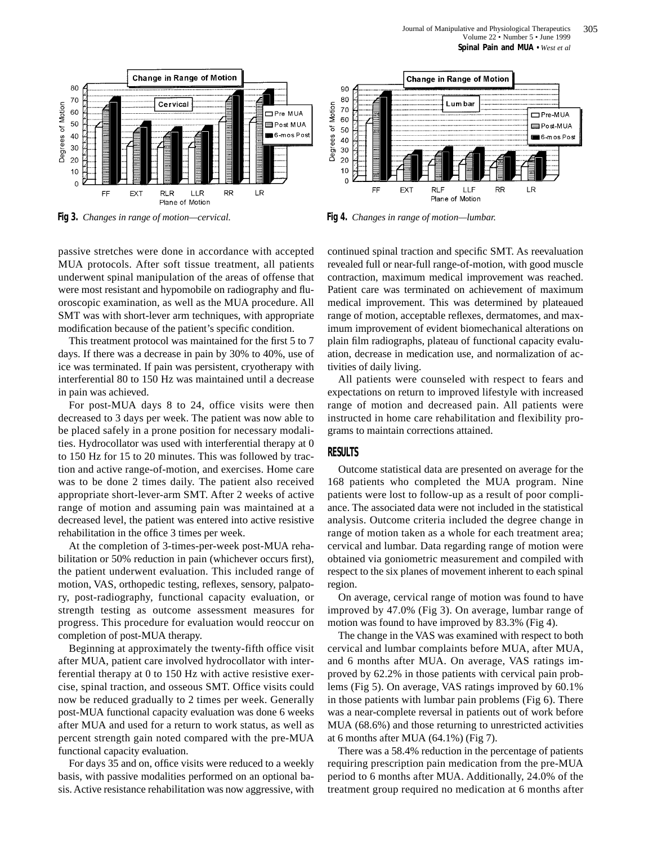

**Fig 3.** *Changes in range of motion—cervical.* **Fig 4.** *Changes in range of motion—lumbar.*

passive stretches were done in accordance with accepted MUA protocols. After soft tissue treatment, all patients underwent spinal manipulation of the areas of offense that were most resistant and hypomobile on radiography and fluoroscopic examination, as well as the MUA procedure. All SMT was with short-lever arm techniques, with appropriate modification because of the patient's specific condition.

This treatment protocol was maintained for the first 5 to 7 days. If there was a decrease in pain by 30% to 40%, use of ice was terminated. If pain was persistent, cryotherapy with interferential 80 to 150 Hz was maintained until a decrease in pain was achieved.

For post-MUA days 8 to 24, office visits were then decreased to 3 days per week. The patient was now able to be placed safely in a prone position for necessary modalities. Hydrocollator was used with interferential therapy at 0 to 150 Hz for 15 to 20 minutes. This was followed by traction and active range-of-motion, and exercises. Home care was to be done 2 times daily. The patient also received appropriate short-lever-arm SMT. After 2 weeks of active range of motion and assuming pain was maintained at a decreased level, the patient was entered into active resistive rehabilitation in the office 3 times per week.

At the completion of 3-times-per-week post-MUA rehabilitation or 50% reduction in pain (whichever occurs first), the patient underwent evaluation. This included range of motion, VAS, orthopedic testing, reflexes, sensory, palpatory, post-radiography, functional capacity evaluation, or strength testing as outcome assessment measures for progress. This procedure for evaluation would reoccur on completion of post-MUA therapy.

Beginning at approximately the twenty-fifth office visit after MUA, patient care involved hydrocollator with interferential therapy at 0 to 150 Hz with active resistive exercise, spinal traction, and osseous SMT. Office visits could now be reduced gradually to 2 times per week. Generally post-MUA functional capacity evaluation was done 6 weeks after MUA and used for a return to work status, as well as percent strength gain noted compared with the pre-MUA functional capacity evaluation.

For days 35 and on, office visits were reduced to a weekly basis, with passive modalities performed on an optional basis. Active resistance rehabilitation was now aggressive, with



continued spinal traction and specific SMT. As reevaluation revealed full or near-full range-of-motion, with good muscle contraction, maximum medical improvement was reached. Patient care was terminated on achievement of maximum medical improvement. This was determined by plateaued range of motion, acceptable reflexes, dermatomes, and maximum improvement of evident biomechanical alterations on plain film radiographs, plateau of functional capacity evaluation, decrease in medication use, and normalization of activities of daily living.

All patients were counseled with respect to fears and expectations on return to improved lifestyle with increased range of motion and decreased pain. All patients were instructed in home care rehabilitation and flexibility programs to maintain corrections attained.

# **RESULTS**

Outcome statistical data are presented on average for the 168 patients who completed the MUA program. Nine patients were lost to follow-up as a result of poor compliance. The associated data were not included in the statistical analysis. Outcome criteria included the degree change in range of motion taken as a whole for each treatment area; cervical and lumbar. Data regarding range of motion were obtained via goniometric measurement and compiled with respect to the six planes of movement inherent to each spinal region.

On average, cervical range of motion was found to have improved by 47.0% (Fig 3). On average, lumbar range of motion was found to have improved by 83.3% (Fig 4).

The change in the VAS was examined with respect to both cervical and lumbar complaints before MUA, after MUA, and 6 months after MUA. On average, VAS ratings improved by 62.2% in those patients with cervical pain problems (Fig 5). On average, VAS ratings improved by 60.1% in those patients with lumbar pain problems (Fig 6). There was a near-complete reversal in patients out of work before MUA (68.6%) and those returning to unrestricted activities at 6 months after MUA (64.1%) (Fig 7).

There was a 58.4% reduction in the percentage of patients requiring prescription pain medication from the pre-MUA period to 6 months after MUA. Additionally, 24.0% of the treatment group required no medication at 6 months after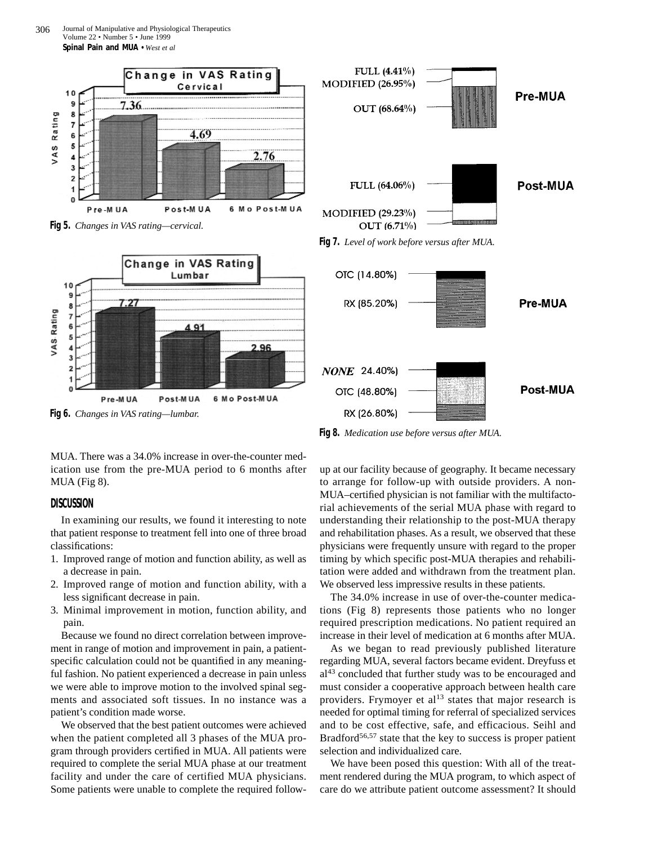

**Fig 5.** *Changes in VAS rating—cervical.*





**Fig 8.** *Medication use before versus after MUA.*

MUA. There was a 34.0% increase in over-the-counter medication use from the pre-MUA period to 6 months after MUA (Fig 8).

# **DISCUSSION**

In examining our results, we found it interesting to note that patient response to treatment fell into one of three broad classifications:

- 1. Improved range of motion and function ability, as well as a decrease in pain.
- 2. Improved range of motion and function ability, with a less significant decrease in pain.
- 3. Minimal improvement in motion, function ability, and pain.

Because we found no direct correlation between improvement in range of motion and improvement in pain, a patientspecific calculation could not be quantified in any meaningful fashion. No patient experienced a decrease in pain unless we were able to improve motion to the involved spinal segments and associated soft tissues. In no instance was a patient's condition made worse.

We observed that the best patient outcomes were achieved when the patient completed all 3 phases of the MUA program through providers certified in MUA. All patients were required to complete the serial MUA phase at our treatment facility and under the care of certified MUA physicians. Some patients were unable to complete the required followup at our facility because of geography. It became necessary to arrange for follow-up with outside providers. A non-MUA–certified physician is not familiar with the multifactorial achievements of the serial MUA phase with regard to understanding their relationship to the post-MUA therapy and rehabilitation phases. As a result, we observed that these physicians were frequently unsure with regard to the proper timing by which specific post-MUA therapies and rehabilitation were added and withdrawn from the treatment plan. We observed less impressive results in these patients.

The 34.0% increase in use of over-the-counter medications (Fig 8) represents those patients who no longer required prescription medications. No patient required an increase in their level of medication at 6 months after MUA.

As we began to read previously published literature regarding MUA, several factors became evident. Dreyfuss et al<sup>43</sup> concluded that further study was to be encouraged and must consider a cooperative approach between health care providers. Frymoyer et al<sup>13</sup> states that major research is needed for optimal timing for referral of specialized services and to be cost effective, safe, and efficacious. Seihl and Bradford<sup>56,57</sup> state that the key to success is proper patient selection and individualized care.

We have been posed this question: With all of the treatment rendered during the MUA program, to which aspect of care do we attribute patient outcome assessment? It should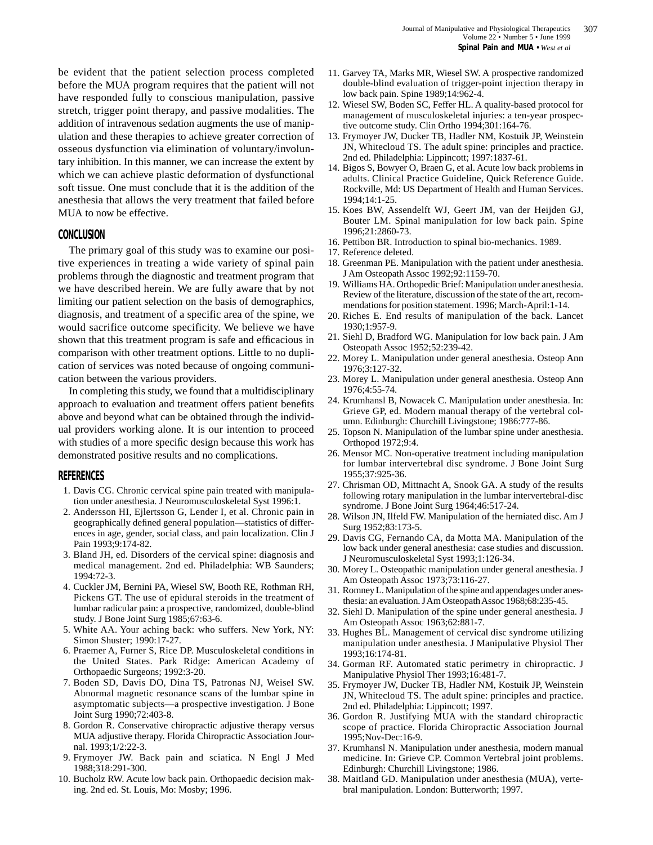be evident that the patient selection process completed before the MUA program requires that the patient will not have responded fully to conscious manipulation, passive stretch, trigger point therapy, and passive modalities. The addition of intravenous sedation augments the use of manipulation and these therapies to achieve greater correction of osseous dysfunction via elimination of voluntary/involuntary inhibition. In this manner, we can increase the extent by which we can achieve plastic deformation of dysfunctional soft tissue. One must conclude that it is the addition of the anesthesia that allows the very treatment that failed before MUA to now be effective.

# **CONCLUSION**

The primary goal of this study was to examine our positive experiences in treating a wide variety of spinal pain problems through the diagnostic and treatment program that we have described herein. We are fully aware that by not limiting our patient selection on the basis of demographics, diagnosis, and treatment of a specific area of the spine, we would sacrifice outcome specificity. We believe we have shown that this treatment program is safe and efficacious in comparison with other treatment options. Little to no duplication of services was noted because of ongoing communication between the various providers.

In completing this study, we found that a multidisciplinary approach to evaluation and treatment offers patient benefits above and beyond what can be obtained through the individual providers working alone. It is our intention to proceed with studies of a more specific design because this work has demonstrated positive results and no complications.

## **REFERENCES**

- 1. Davis CG. Chronic cervical spine pain treated with manipulation under anesthesia. J Neuromusculoskeletal Syst 1996:1.
- 2. Andersson HI, Ejlertsson G, Lender I, et al. Chronic pain in geographically defined general population—statistics of differences in age, gender, social class, and pain localization. Clin J Pain 1993;9:174-82.
- 3. Bland JH, ed. Disorders of the cervical spine: diagnosis and medical management. 2nd ed. Philadelphia: WB Saunders; 1994:72-3.
- 4. Cuckler JM, Bernini PA, Wiesel SW, Booth RE, Rothman RH, Pickens GT. The use of epidural steroids in the treatment of lumbar radicular pain: a prospective, randomized, double-blind study. J Bone Joint Surg 1985;67:63-6.
- 5. White AA. Your aching back: who suffers. New York, NY: Simon Shuster; 1990:17-27.
- 6. Praemer A, Furner S, Rice DP. Musculoskeletal conditions in the United States. Park Ridge: American Academy of Orthopaedic Surgeons; 1992:3-20.
- 7. Boden SD, Davis DO, Dina TS, Patronas NJ, Weisel SW. Abnormal magnetic resonance scans of the lumbar spine in asymptomatic subjects—a prospective investigation. J Bone Joint Surg 1990;72:403-8.
- 8. Gordon R. Conservative chiropractic adjustive therapy versus MUA adjustive therapy. Florida Chiropractic Association Journal. 1993;1/2:22-3.
- 9. Frymoyer JW. Back pain and sciatica. N Engl J Med 1988;318:291-300.
- 10. Bucholz RW. Acute low back pain. Orthopaedic decision making. 2nd ed. St. Louis, Mo: Mosby; 1996.
- 11. Garvey TA, Marks MR, Wiesel SW. A prospective randomized double-blind evaluation of trigger-point injection therapy in low back pain. Spine 1989;14:962-4.
- 12. Wiesel SW, Boden SC, Feffer HL. A quality-based protocol for management of musculoskeletal injuries: a ten-year prospective outcome study. Clin Ortho 1994;301:164-76.
- 13. Frymoyer JW, Ducker TB, Hadler NM, Kostuik JP, Weinstein JN, Whitecloud TS. The adult spine: principles and practice. 2nd ed. Philadelphia: Lippincott; 1997:1837-61.
- 14. Bigos S, Bowyer O, Braen G, et al. Acute low back problems in adults. Clinical Practice Guideline, Quick Reference Guide. Rockville, Md: US Department of Health and Human Services. 1994;14:1-25.
- 15. Koes BW, Assendelft WJ, Geert JM, van der Heijden GJ, Bouter LM. Spinal manipulation for low back pain. Spine 1996;21:2860-73.
- 16. Pettibon BR. Introduction to spinal bio-mechanics. 1989.
- 17. Reference deleted.
- 18. Greenman PE. Manipulation with the patient under anesthesia. J Am Osteopath Assoc 1992;92:1159-70.
- 19. Williams HA. Orthopedic Brief: Manipulation under anesthesia. Review of the literature, discussion of the state of the art, recommendations for position statement. 1996; March-April:1-14.
- 20. Riches E. End results of manipulation of the back. Lancet 1930;1:957-9.
- 21. Siehl D, Bradford WG. Manipulation for low back pain. J Am Osteopath Assoc 1952;52:239-42.
- 22. Morey L. Manipulation under general anesthesia. Osteop Ann 1976;3:127-32.
- 23. Morey L. Manipulation under general anesthesia. Osteop Ann 1976;4:55-74.
- 24. Krumhansl B, Nowacek C. Manipulation under anesthesia. In: Grieve GP, ed. Modern manual therapy of the vertebral column. Edinburgh: Churchill Livingstone; 1986:777-86.
- 25. Topson N. Manipulation of the lumbar spine under anesthesia. Orthopod 1972;9:4.
- 26. Mensor MC. Non-operative treatment including manipulation for lumbar intervertebral disc syndrome. J Bone Joint Surg 1955;37:925-36.
- 27. Chrisman OD, Mittnacht A, Snook GA. A study of the results following rotary manipulation in the lumbar intervertebral-disc syndrome. J Bone Joint Surg 1964;46:517-24.
- 28. Wilson JN, Ilfeld FW. Manipulation of the herniated disc. Am J Surg 1952;83:173-5.
- 29. Davis CG, Fernando CA, da Motta MA. Manipulation of the low back under general anesthesia: case studies and discussion. J Neuromusculoskeletal Syst 1993;1:126-34.
- 30. Morey L. Osteopathic manipulation under general anesthesia. J Am Osteopath Assoc 1973;73:116-27.
- 31. Romney L. Manipulation of the spine and appendages under anesthesia: an evaluation. J Am Osteopath Assoc 1968;68:235-45.
- 32. Siehl D. Manipulation of the spine under general anesthesia. J Am Osteopath Assoc 1963;62:881-7.
- 33. Hughes BL. Management of cervical disc syndrome utilizing manipulation under anesthesia. J Manipulative Physiol Ther 1993;16:174-81.
- 34. Gorman RF. Automated static perimetry in chiropractic. J Manipulative Physiol Ther 1993;16:481-7.
- 35. Frymoyer JW, Ducker TB, Hadler NM, Kostuik JP, Weinstein JN, Whitecloud TS. The adult spine: principles and practice. 2nd ed. Philadelphia: Lippincott; 1997.
- 36. Gordon R. Justifying MUA with the standard chiropractic scope of practice. Florida Chiropractic Association Journal 1995;Nov-Dec:16-9.
- 37. Krumhansl N. Manipulation under anesthesia, modern manual medicine. In: Grieve CP. Common Vertebral joint problems. Edinburgh: Churchill Livingstone; 1986.
- 38. Maitland GD. Manipulation under anesthesia (MUA), vertebral manipulation. London: Butterworth; 1997.